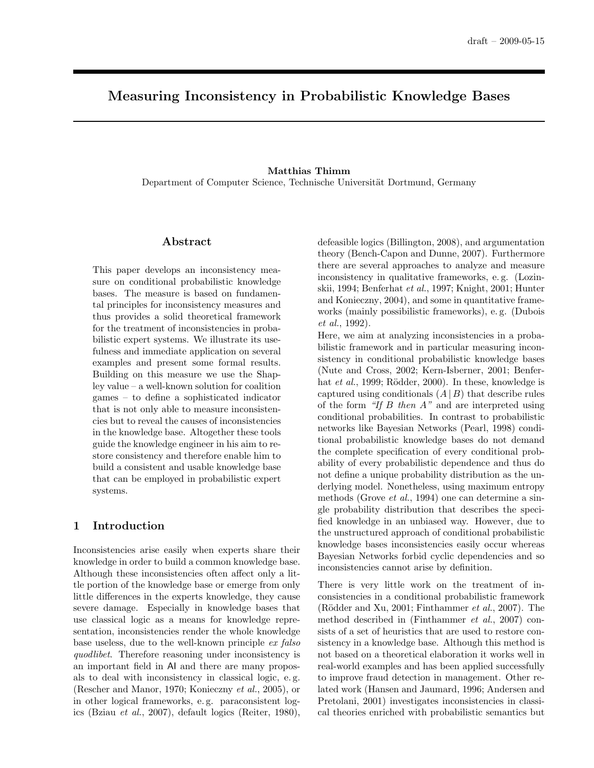# Measuring Inconsistency in Probabilistic Knowledge Bases

## Matthias Thimm Department of Computer Science, Technische Universität Dortmund, Germany

### Abstract

This paper develops an inconsistency measure on conditional probabilistic knowledge bases. The measure is based on fundamental principles for inconsistency measures and thus provides a solid theoretical framework for the treatment of inconsistencies in probabilistic expert systems. We illustrate its usefulness and immediate application on several examples and present some formal results. Building on this measure we use the Shapley value – a well-known solution for coalition games – to define a sophisticated indicator that is not only able to measure inconsistencies but to reveal the causes of inconsistencies in the knowledge base. Altogether these tools guide the knowledge engineer in his aim to restore consistency and therefore enable him to build a consistent and usable knowledge base that can be employed in probabilistic expert systems.

### 1 Introduction

Inconsistencies arise easily when experts share their knowledge in order to build a common knowledge base. Although these inconsistencies often affect only a little portion of the knowledge base or emerge from only little differences in the experts knowledge, they cause severe damage. Especially in knowledge bases that use classical logic as a means for knowledge representation, inconsistencies render the whole knowledge base useless, due to the well-known principle ex falso quodlibet. Therefore reasoning under inconsistency is an important field in AI and there are many proposals to deal with inconsistency in classical logic, e. g. (Rescher and Manor, 1970; Konieczny et al., 2005), or in other logical frameworks, e. g. paraconsistent logics (Bziau et al., 2007), default logics (Reiter, 1980),

defeasible logics (Billington, 2008), and argumentation theory (Bench-Capon and Dunne, 2007). Furthermore there are several approaches to analyze and measure inconsistency in qualitative frameworks, e. g. (Lozinskii, 1994; Benferhat et al., 1997; Knight, 2001; Hunter and Konieczny, 2004), and some in quantitative frameworks (mainly possibilistic frameworks), e. g. (Dubois et al., 1992).

Here, we aim at analyzing inconsistencies in a probabilistic framework and in particular measuring inconsistency in conditional probabilistic knowledge bases (Nute and Cross, 2002; Kern-Isberner, 2001; Benferhat *et al.*, 1999; Rödder, 2000). In these, knowledge is captured using conditionals  $(A | B)$  that describe rules of the form "If  $B$  then  $A$ " and are interpreted using conditional probabilities. In contrast to probabilistic networks like Bayesian Networks (Pearl, 1998) conditional probabilistic knowledge bases do not demand the complete specification of every conditional probability of every probabilistic dependence and thus do not define a unique probability distribution as the underlying model. Nonetheless, using maximum entropy methods (Grove et al., 1994) one can determine a single probability distribution that describes the specified knowledge in an unbiased way. However, due to the unstructured approach of conditional probabilistic knowledge bases inconsistencies easily occur whereas Bayesian Networks forbid cyclic dependencies and so inconsistencies cannot arise by definition.

There is very little work on the treatment of inconsistencies in a conditional probabilistic framework (Rödder and Xu, 2001; Finthammer  $et al., 2007$ ). The method described in (Finthammer et al., 2007) consists of a set of heuristics that are used to restore consistency in a knowledge base. Although this method is not based on a theoretical elaboration it works well in real-world examples and has been applied successfully to improve fraud detection in management. Other related work (Hansen and Jaumard, 1996; Andersen and Pretolani, 2001) investigates inconsistencies in classical theories enriched with probabilistic semantics but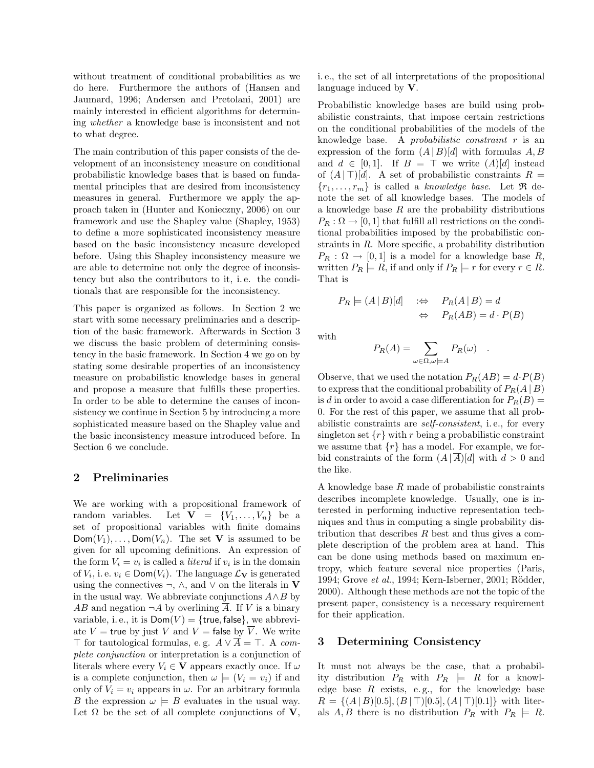without treatment of conditional probabilities as we do here. Furthermore the authors of (Hansen and Jaumard, 1996; Andersen and Pretolani, 2001) are mainly interested in efficient algorithms for determining whether a knowledge base is inconsistent and not to what degree.

The main contribution of this paper consists of the development of an inconsistency measure on conditional probabilistic knowledge bases that is based on fundamental principles that are desired from inconsistency measures in general. Furthermore we apply the approach taken in (Hunter and Konieczny, 2006) on our framework and use the Shapley value (Shapley, 1953) to define a more sophisticated inconsistency measure based on the basic inconsistency measure developed before. Using this Shapley inconsistency measure we are able to determine not only the degree of inconsistency but also the contributors to it, i. e. the conditionals that are responsible for the inconsistency.

This paper is organized as follows. In Section 2 we start with some necessary preliminaries and a description of the basic framework. Afterwards in Section 3 we discuss the basic problem of determining consistency in the basic framework. In Section 4 we go on by stating some desirable properties of an inconsistency measure on probabilistic knowledge bases in general and propose a measure that fulfills these properties. In order to be able to determine the causes of inconsistency we continue in Section 5 by introducing a more sophisticated measure based on the Shapley value and the basic inconsistency measure introduced before. In Section 6 we conclude.

### 2 Preliminaries

We are working with a propositional framework of random variables. Let  $\mathbf{V} = \{V_1, \ldots, V_n\}$  be a set of propositional variables with finite domains  $Dom(V_1), \ldots, Dom(V_n)$ . The set **V** is assumed to be given for all upcoming definitions. An expression of the form  $V_i = v_i$  is called a *literal* if  $v_i$  is in the domain of  $V_i$ , i. e.  $v_i \in \textsf{Dom}(V_i)$ . The language  $\mathcal{L}_{\mathbf{V}}$  is generated using the connectives  $\neg$ ,  $\wedge$ , and  $\vee$  on the literals in **V** in the usual way. We abbreviate conjunctions  $A \wedge B$  by  $AB$  and negation  $\neg A$  by overlining  $\overline{A}$ . If V is a binary variable, i.e., it is  $Dom(V) = {true, false},$  we abbreviate  $V =$  true by just V and  $V =$  false by  $\overline{V}$ . We write ⊤ for tautological formulas, e.g.  $A ∨ \overline{A} = T$ . A complete conjunction or interpretation is a conjunction of literals where every  $V_i \in \mathbf{V}$  appears exactly once. If  $\omega$ is a complete conjunction, then  $\omega \models (V_i = v_i)$  if and only of  $V_i = v_i$  appears in  $\omega$ . For an arbitrary formula B the expression  $\omega \models B$  evaluates in the usual way. Let  $\Omega$  be the set of all complete conjunctions of **V**,

i. e., the set of all interpretations of the propositional language induced by V.

Probabilistic knowledge bases are build using probabilistic constraints, that impose certain restrictions on the conditional probabilities of the models of the knowledge base. A probabilistic constraint r is an expression of the form  $(A | B)[d]$  with formulas A, B and  $d \in [0,1]$ . If  $B = \top$  we write  $(A)[d]$  instead of  $(A | \top) [d]$ . A set of probabilistic constraints  $R =$  ${r_1, \ldots, r_m}$  is called a knowledge base. Let  $\Re$  denote the set of all knowledge bases. The models of a knowledge base  $R$  are the probability distributions  $P_R: \Omega \to [0, 1]$  that fulfill all restrictions on the conditional probabilities imposed by the probabilistic constraints in R. More specific, a probability distribution  $P_R : \Omega \to [0,1]$  is a model for a knowledge base R, written  $P_R \models R$ , if and only if  $P_R \models r$  for every  $r \in R$ . That is

$$
P_R \models (A \mid B)[d] \quad : \Leftrightarrow \quad P_R(A \mid B) = d
$$

$$
\Leftrightarrow \quad P_R(AB) = d \cdot P(B)
$$

with

$$
P_R(A) = \sum_{\omega \in \Omega, \omega \models A} P_R(\omega) .
$$

Observe, that we used the notation  $P_R(AB) = d \cdot P(B)$ to express that the conditional probability of  $P_R(A | B)$ is d in order to avoid a case differentiation for  $P_R(B) =$ 0. For the rest of this paper, we assume that all probabilistic constraints are self-consistent, i. e., for every singleton set  $\{r\}$  with r being a probabilistic constraint we assume that  $\{r\}$  has a model. For example, we forbid constraints of the form  $(A|\overline{A})[d]$  with  $d > 0$  and the like.

A knowledge base R made of probabilistic constraints describes incomplete knowledge. Usually, one is interested in performing inductive representation techniques and thus in computing a single probability distribution that describes  $R$  best and thus gives a complete description of the problem area at hand. This can be done using methods based on maximum entropy, which feature several nice properties (Paris, 1994; Grove et al., 1994; Kern-Isberner, 2001; Rödder, 2000). Although these methods are not the topic of the present paper, consistency is a necessary requirement for their application.

### 3 Determining Consistency

It must not always be the case, that a probability distribution  $P_R$  with  $P_R \models R$  for a knowledge base  $R$  exists, e.g., for the knowledge base  $R = \{(A | B) [0.5], (B | T) [0.5], (A | T) [0.1]\}\$  with literals A, B there is no distribution  $P_R$  with  $P_R \models R$ .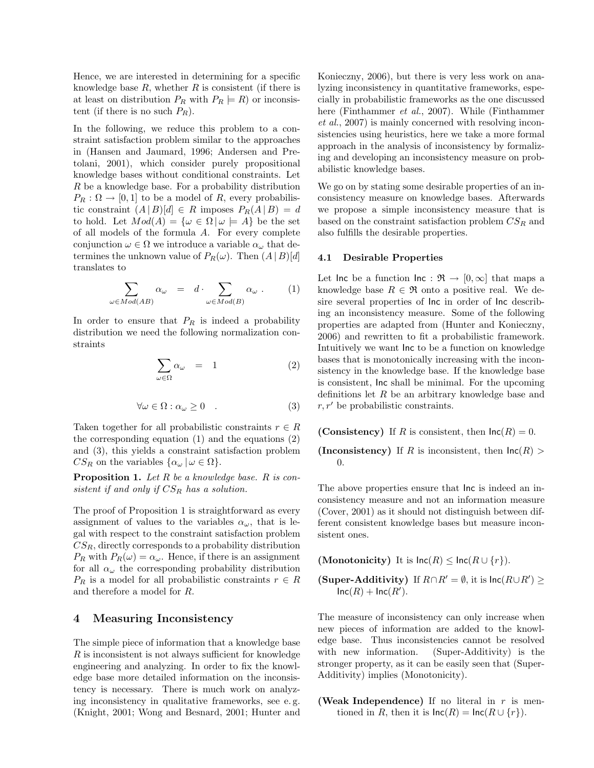Hence, we are interested in determining for a specific knowledge base  $R$ , whether  $R$  is consistent (if there is at least on distribution  $P_R$  with  $P_R \models R$ ) or inconsistent (if there is no such  $P_R$ ).

In the following, we reduce this problem to a constraint satisfaction problem similar to the approaches in (Hansen and Jaumard, 1996; Andersen and Pretolani, 2001), which consider purely propositional knowledge bases without conditional constraints. Let R be a knowledge base. For a probability distribution  $P_R: \Omega \to [0, 1]$  to be a model of R, every probabilistic constraint  $(A | B)[d] \in R$  imposes  $P_R(A | B) = d$ to hold. Let  $Mod(A) = \{ \omega \in \Omega \mid \omega \models A \}$  be the set of all models of the formula A. For every complete conjunction  $\omega \in \Omega$  we introduce a variable  $\alpha_{\omega}$  that determines the unknown value of  $P_R(\omega)$ . Then  $(A | B)[d]$ translates to

$$
\sum_{\omega \in Mod(AB)} \alpha_{\omega} = d \cdot \sum_{\omega \in Mod(B)} \alpha_{\omega} . \qquad (1)
$$

In order to ensure that  $P_R$  is indeed a probability distribution we need the following normalization constraints

$$
\sum_{\omega \in \Omega} \alpha_{\omega} = 1 \tag{2}
$$

$$
\forall \omega \in \Omega : \alpha_{\omega} \ge 0 \quad . \tag{3}
$$

Taken together for all probabilistic constraints  $r \in R$ the corresponding equation (1) and the equations (2) and (3), this yields a constraint satisfaction problem  $CS_R$  on the variables  $\{\alpha_\omega \, | \, \omega \in \Omega\}.$ 

**Proposition 1.** Let  $R$  be a knowledge base.  $R$  is consistent if and only if  $CS_R$  has a solution.

The proof of Proposition 1 is straightforward as every assignment of values to the variables  $\alpha_{\omega}$ , that is legal with respect to the constraint satisfaction problem  $CS_R$ , directly corresponds to a probability distribution  $P_R$  with  $P_R(\omega) = \alpha_\omega$ . Hence, if there is an assignment for all  $\alpha_{\omega}$  the corresponding probability distribution  $P_R$  is a model for all probabilistic constraints  $r \in R$ and therefore a model for R.

### 4 Measuring Inconsistency

The simple piece of information that a knowledge base R is inconsistent is not always sufficient for knowledge engineering and analyzing. In order to fix the knowledge base more detailed information on the inconsistency is necessary. There is much work on analyzing inconsistency in qualitative frameworks, see e. g. (Knight, 2001; Wong and Besnard, 2001; Hunter and

Konieczny, 2006), but there is very less work on analyzing inconsistency in quantitative frameworks, especially in probabilistic frameworks as the one discussed here (Finthammer et al., 2007). While (Finthammer et al., 2007) is mainly concerned with resolving inconsistencies using heuristics, here we take a more formal approach in the analysis of inconsistency by formalizing and developing an inconsistency measure on probabilistic knowledge bases.

We go on by stating some desirable properties of an inconsistency measure on knowledge bases. Afterwards we propose a simple inconsistency measure that is based on the constraint satisfaction problem  $CS_R$  and also fulfills the desirable properties.

#### 4.1 Desirable Properties

Let Inc be a function Inc :  $\mathfrak{R} \to [0,\infty]$  that maps a knowledge base  $R \in \mathfrak{R}$  onto a positive real. We desire several properties of Inc in order of Inc describing an inconsistency measure. Some of the following properties are adapted from (Hunter and Konieczny, 2006) and rewritten to fit a probabilistic framework. Intuitively we want Inc to be a function on knowledge bases that is monotonically increasing with the inconsistency in the knowledge base. If the knowledge base is consistent, Inc shall be minimal. For the upcoming definitions let  $R$  be an arbitrary knowledge base and  $r, r'$  be probabilistic constraints.

(Consistency) If R is consistent, then  $\text{Inc}(R) = 0$ .

(Inconsistency) If R is inconsistent, then  $\text{Inc}(R)$ ) 0.

The above properties ensure that Inc is indeed an inconsistency measure and not an information measure (Cover, 2001) as it should not distinguish between different consistent knowledge bases but measure inconsistent ones.

(Monotonicity) It is  $\text{Inc}(R) \leq \text{Inc}(R \cup \{r\}).$ 

(Super-Additivity) If  $R \cap R' = \emptyset$ , it is  $\text{Inc}(R \cup R') \geq$  $\mathsf{Inc}(R) + \mathsf{Inc}(R').$ 

The measure of inconsistency can only increase when new pieces of information are added to the knowledge base. Thus inconsistencies cannot be resolved with new information. (Super-Additivity) is the stronger property, as it can be easily seen that (Super-Additivity) implies (Monotonicity).

(Weak Independence) If no literal in  $r$  is mentioned in R, then it is  $\text{Inc}(R) = \text{Inc}(R \cup \{r\}).$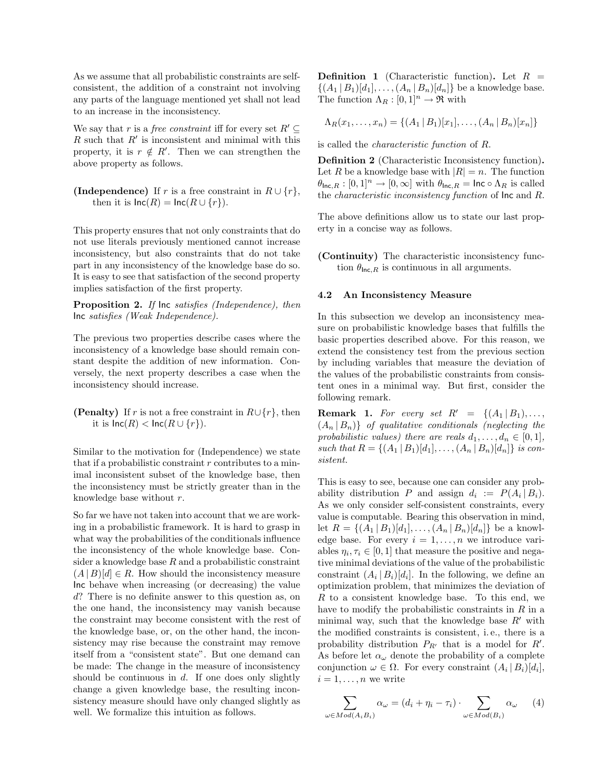As we assume that all probabilistic constraints are selfconsistent, the addition of a constraint not involving any parts of the language mentioned yet shall not lead to an increase in the inconsistency.

We say that r is a *free constraint* iff for every set  $R' \subseteq$  $R$  such that  $R'$  is inconsistent and minimal with this property, it is  $r \notin R'$ . Then we can strengthen the above property as follows.

(Independence) If r is a free constraint in  $R \cup \{r\}$ , then it is  $\text{Inc}(R) = \text{Inc}(R \cup \{r\}).$ 

This property ensures that not only constraints that do not use literals previously mentioned cannot increase inconsistency, but also constraints that do not take part in any inconsistency of the knowledge base do so. It is easy to see that satisfaction of the second property implies satisfaction of the first property.

Proposition 2. If  $\ln \text{c}$  satisfies (Independence), then Inc satisfies (Weak Independence).

The previous two properties describe cases where the inconsistency of a knowledge base should remain constant despite the addition of new information. Conversely, the next property describes a case when the inconsistency should increase.

(Penalty) If r is not a free constraint in  $R\cup\{r\}$ , then it is  $\text{Inc}(R) < \text{Inc}(R \cup \{r\}).$ 

Similar to the motivation for (Independence) we state that if a probabilistic constraint  $r$  contributes to a minimal inconsistent subset of the knowledge base, then the inconsistency must be strictly greater than in the knowledge base without r.

So far we have not taken into account that we are working in a probabilistic framework. It is hard to grasp in what way the probabilities of the conditionals influence the inconsistency of the whole knowledge base. Consider a knowledge base  $R$  and a probabilistic constraint  $(A | B) [d] \in R$ . How should the inconsistency measure Inc behave when increasing (or decreasing) the value d? There is no definite answer to this question as, on the one hand, the inconsistency may vanish because the constraint may become consistent with the rest of the knowledge base, or, on the other hand, the inconsistency may rise because the constraint may remove itself from a "consistent state". But one demand can be made: The change in the measure of inconsistency should be continuous in  $d$ . If one does only slightly change a given knowledge base, the resulting inconsistency measure should have only changed slightly as well. We formalize this intuition as follows.

**Definition 1** (Characteristic function). Let  $R =$  $\{(A_1 | B_1)[d_1], \ldots, (A_n | B_n)[d_n]\}\$ be a knowledge base. The function  $\Lambda_R : [0,1]^n \to \mathfrak{R}$  with

$$
\Lambda_R(x_1,\ldots,x_n) = \{(A_1 \,|\, B_1)[x_1],\ldots,(A_n \,|\, B_n)[x_n]\}
$$

is called the characteristic function of R.

Definition 2 (Characteristic Inconsistency function). Let R be a knowledge base with  $|R| = n$ . The function  $\theta_{\text{Inc},R} : [0,1]^n \to [0,\infty]$  with  $\theta_{\text{Inc},R} = \text{Inc} \circ \Lambda_R$  is called the characteristic inconsistency function of Inc and R.

The above definitions allow us to state our last property in a concise way as follows.

(Continuity) The characteristic inconsistency function  $\theta_{\text{Inc},R}$  is continuous in all arguments.

#### 4.2 An Inconsistency Measure

In this subsection we develop an inconsistency measure on probabilistic knowledge bases that fulfills the basic properties described above. For this reason, we extend the consistency test from the previous section by including variables that measure the deviation of the values of the probabilistic constraints from consistent ones in a minimal way. But first, consider the following remark.

**Remark 1.** For every set  $R' = \{(A_1 | B_1), \ldots,$  $(A_n | B_n)$  of qualitative conditionals (neglecting the probabilistic values) there are reals  $d_1, \ldots, d_n \in [0, 1]$ , such that  $R = \{(A_1 | B_1) [d_1], \ldots, (A_n | B_n) [d_n]\}\$ is consistent.

This is easy to see, because one can consider any probability distribution P and assign  $d_i := P(A_i | B_i)$ . As we only consider self-consistent constraints, every value is computable. Bearing this observation in mind, let  $R = \{(A_1 | B_1) [d_1], \ldots, (A_n | B_n) [d_n]\}\$ be a knowledge base. For every  $i = 1, \ldots, n$  we introduce variables  $\eta_i, \tau_i \in [0, 1]$  that measure the positive and negative minimal deviations of the value of the probabilistic constraint  $(A_i | B_i)[d_i]$ . In the following, we define an optimization problem, that minimizes the deviation of  $R$  to a consistent knowledge base. To this end, we have to modify the probabilistic constraints in  $R$  in a minimal way, such that the knowledge base  $R'$  with the modified constraints is consistent, i. e., there is a probability distribution  $P_{R'}$  that is a model for  $R'$ . As before let  $\alpha_{\omega}$  denote the probability of a complete conjunction  $\omega \in \Omega$ . For every constraint  $(A_i | B_i)[d_i]$ ,  $i = 1, \ldots, n$  we write

$$
\sum_{\omega \in Mod(A_iB_i)} \alpha_{\omega} = (d_i + \eta_i - \tau_i) \cdot \sum_{\omega \in Mod(B_i)} \alpha_{\omega} \qquad (4)
$$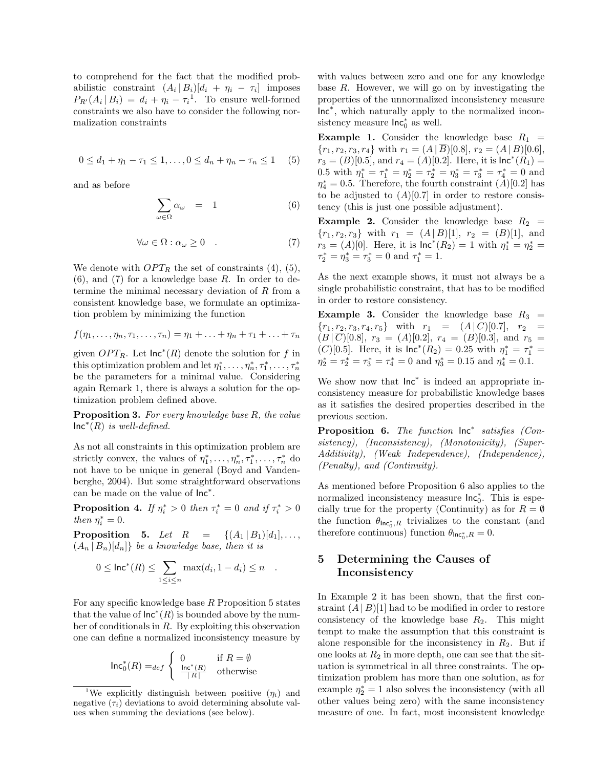to comprehend for the fact that the modified probabilistic constraint  $(A_i | B_i)[d_i + \eta_i - \tau_i]$  imposes  $P_{R'}(A_i | B_i) = d_i + \eta_i - \tau_i^1$ . To ensure well-formed constraints we also have to consider the following normalization constraints

$$
0 \le d_1 + \eta_1 - \tau_1 \le 1, \dots, 0 \le d_n + \eta_n - \tau_n \le 1 \quad (5)
$$

and as before

$$
\sum_{\omega \in \Omega} \alpha_{\omega} = 1 \tag{6}
$$

$$
\forall \omega \in \Omega : \alpha_{\omega} \ge 0 \quad . \tag{7}
$$

We denote with  $OPT_R$  the set of constraints (4), (5),  $(6)$ , and  $(7)$  for a knowledge base R. In order to determine the minimal necessary deviation of  $R$  from a consistent knowledge base, we formulate an optimization problem by minimizing the function

$$
f(\eta_1,\ldots,\eta_n,\tau_1,\ldots,\tau_n)=\eta_1+\ldots+\eta_n+\tau_1+\ldots+\tau_n
$$

given  $OPT_R$ . Let  $\mathsf{Inc}^*(R)$  denote the solution for f in this optimization problem and let  $\eta_1^*, \ldots, \eta_n^*, \tau_1^*, \ldots, \tau_n^*$ be the parameters for a minimal value. Considering again Remark 1, there is always a solution for the optimization problem defined above.

Proposition 3. For every knowledge base R, the value  $\textsf{Inc}^*(R)$  is well-defined.

As not all constraints in this optimization problem are strictly convex, the values of  $\eta_1^*, \ldots, \eta_n^*, \tau_1^*, \ldots, \tau_n^*$  do not have to be unique in general (Boyd and Vandenberghe, 2004). But some straightforward observations can be made on the value of Inc<sup>∗</sup> .

**Proposition 4.** If  $\eta_i^* > 0$  then  $\tau_i^* = 0$  and if  $\tau_i^* > 0$ then  $\eta_i^* = 0$ .

**Proposition 5.** Let  $R = \{(A_1 | B_1) [d_1], \ldots,$  $(A_n | B_n)[d_n]$  be a knowledge base, then it is

$$
0 \leq \ln c^*(R) \leq \sum_{1 \leq i \leq n} \max(d_i, 1 - d_i) \leq n \quad .
$$

For any specific knowledge base  $R$  Proposition 5 states that the value of  $\mathsf{Inc}^*(R)$  is bounded above by the number of conditionals in R. By exploiting this observation one can define a normalized inconsistency measure by

$$
\operatorname{Inc}_0^*(R) =_{def} \left\{ \begin{array}{ll} 0 & \text{if } R = \emptyset \\ \frac{\operatorname{Inc}^*(R)}{|R|} & \text{otherwise} \end{array} \right.
$$

with values between zero and one for any knowledge base  $R$ . However, we will go on by investigating the properties of the unnormalized inconsistency measure Inc<sup>∗</sup> , which naturally apply to the normalized inconsistency measure  $\mathsf{Inc}_0^*$  as well.

**Example 1.** Consider the knowledge base  $R_1$  =  ${r_1, r_2, r_3, r_4}$  with  $r_1 = (A \,|\, \overline{B})[0.8], r_2 = (A \,|\, B)[0.6],$  $r_3 = (B)[0.5]$ , and  $r_4 = (A)[0.2]$ . Here, it is  $\textsf{Inc}^*(R_1) =$ 0.5 with  $\eta_1^* = \tau_1^* = \eta_2^* = \tau_2^* = \eta_3^* = \tau_3^* = \tau_4^* = 0$  and  $\eta_4^* = 0.5$ . Therefore, the fourth constraint  $(A)[0.2]$  has to be adjusted to  $(A)[0.7]$  in order to restore consistency (this is just one possible adjustment).

**Example 2.** Consider the knowledge base  $R_2$  =  ${r_1, r_2, r_3}$  with  $r_1 = (A | B) [1], r_2 = (B) [1],$  and  $r_3 = (A)[0]$ . Here, it is  $\ln c^*(R_2) = 1$  with  $\eta_1^* = \eta_2^* =$  $\tau_2^* = \eta_3^* = \tau_3^* = 0$  and  $\tau_1^* = 1$ .

As the next example shows, it must not always be a single probabilistic constraint, that has to be modified in order to restore consistency.

**Example 3.** Consider the knowledge base  $R_3$  =  ${r_1, r_2, r_3, r_4, r_5}$  with  $r_1 = (A \, | \, C) [0.7], r_2$  $(B | \overline{C})[0.8], r_3 = (A)[0.2], r_4 = (B)[0.3],$  and  $r_5 =$ (C)[0.5]. Here, it is  $\ln c^*(R_2) = 0.25$  with  $\eta_1^* = \tau_1^* =$  $\eta_2^* = \tau_2^* = \tau_3^* = \tau_4^* = 0$  and  $\eta_3^* = 0.15$  and  $\eta_4^* = 0.1$ .

We show now that  $\mathsf{Inc}^*$  is indeed an appropriate inconsistency measure for probabilistic knowledge bases as it satisfies the desired properties described in the previous section.

Proposition 6. The function  $\text{Inc}^*$  satisfies (Consistency), (Inconsistency), (Monotonicity), (Super-Additivity), (Weak Independence), (Independence), (Penalty), and (Continuity).

As mentioned before Proposition 6 also applies to the normalized inconsistency measure  $\text{Inc}_0^*$ . This is especially true for the property (Continuity) as for  $R = \emptyset$ the function  $\theta_{\text{Inc}_0^*,R}$  trivializes to the constant (and therefore continuous) function  $\theta_{\text{Inc}_0^*,R} = 0$ .

# 5 Determining the Causes of Inconsistency

In Example 2 it has been shown, that the first constraint  $(A | B)$ [1] had to be modified in order to restore consistency of the knowledge base  $R_2$ . This might tempt to make the assumption that this constraint is alone responsible for the inconsistency in  $R_2$ . But if one looks at  $R_2$  in more depth, one can see that the situation is symmetrical in all three constraints. The optimization problem has more than one solution, as for example  $\eta_2^* = 1$  also solves the inconsistency (with all other values being zero) with the same inconsistency measure of one. In fact, most inconsistent knowledge

<sup>&</sup>lt;sup>1</sup>We explicitly distinguish between positive  $(\eta_i)$  and negative  $(\tau_i)$  deviations to avoid determining absolute values when summing the deviations (see below).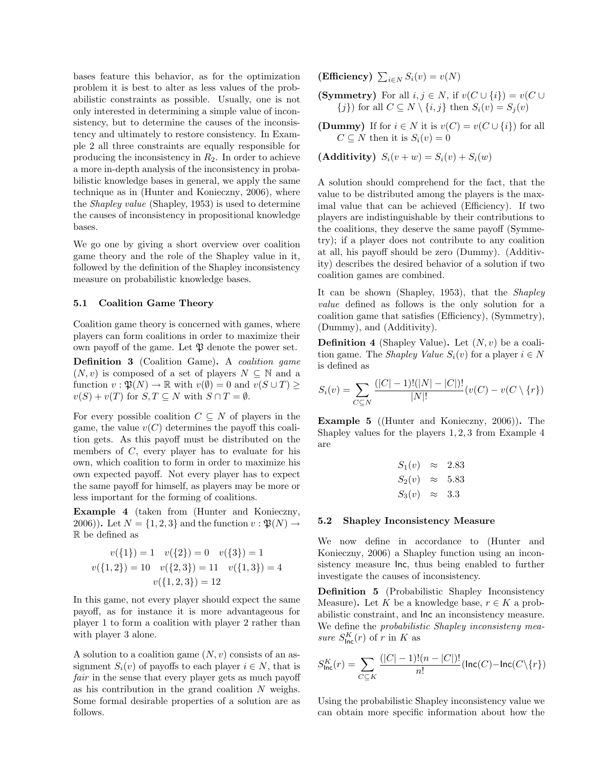bases feature this behavior, as for the optimization problem it is best to alter as less values of the probabilistic constraints as possible. Usually, one is not only interested in determining a simple value of inconsistency, but to determine the causes of the inconsistency and ultimately to restore consistency. In Example 2 all three constraints are equally responsible for producing the inconsistency in  $R_2$ . In order to achieve a more in-depth analysis of the inconsistency in probabilistic knowledge bases in general, we apply the same technique as in (Hunter and Konieczny, 2006), where the Shapley value (Shapley, 1953) is used to determine the causes of inconsistency in propositional knowledge bases.

We go one by giving a short overview over coalition game theory and the role of the Shapley value in it, followed by the definition of the Shapley inconsistency measure on probabilistic knowledge bases.

### 5.1 Coalition Game Theory

Coalition game theory is concerned with games, where players can form coalitions in order to maximize their own payoff of the game. Let  $\mathfrak P$  denote the power set.

Definition 3 (Coalition Game). A coalition game  $(N, v)$  is composed of a set of players  $N \subseteq \mathbb{N}$  and a function  $v : \mathfrak{P}(N) \to \mathbb{R}$  with  $v(\emptyset) = 0$  and  $v(S \cup T) \geq$  $v(S) + v(T)$  for  $S, T \subseteq N$  with  $S \cap T = \emptyset$ .

For every possible coalition  $C \subseteq N$  of players in the game, the value  $v(C)$  determines the payoff this coalition gets. As this payoff must be distributed on the members of C, every player has to evaluate for his own, which coalition to form in order to maximize his own expected payoff. Not every player has to expect the same payoff for himself, as players may be more or less important for the forming of coalitions.

Example 4 (taken from (Hunter and Konieczny, 2006)). Let  $N = \{1, 2, 3\}$  and the function  $v : \mathfrak{P}(N) \rightarrow$ R be defined as

$$
v({1}) = 1 \t v({2}) = 0 \t v({3}) = 1
$$
  

$$
v({1, 2}) = 10 \t v({2, 3}) = 11 \t v({1, 3}) = 4
$$
  

$$
v({1, 2, 3}) = 12
$$

In this game, not every player should expect the same payoff, as for instance it is more advantageous for player 1 to form a coalition with player 2 rather than with player 3 alone.

A solution to a coalition game  $(N, v)$  consists of an assignment  $S_i(v)$  of payoffs to each player  $i \in N$ , that is fair in the sense that every player gets as much payoff as his contribution in the grand coalition  $N$  weighs. Some formal desirable properties of a solution are as follows.

(Efficiency)  $\sum_{i \in N} S_i(v) = v(N)$ 

- (Symmetry) For all  $i, j \in N$ , if  $v(C \cup \{i\}) = v(C \cup$  ${j}$  for all  $C \subseteq N \setminus \{i, j\}$  then  $S_i(v) = S_j(v)$
- (Dummy) If for  $i \in N$  it is  $v(C) = v(C \cup \{i\})$  for all  $C \subseteq N$  then it is  $S_i(v) = 0$

(Additivity)  $S_i(v + w) = S_i(v) + S_i(w)$ 

A solution should comprehend for the fact, that the value to be distributed among the players is the maximal value that can be achieved (Efficiency). If two players are indistinguishable by their contributions to the coalitions, they deserve the same payoff (Symmetry); if a player does not contribute to any coalition at all, his payoff should be zero (Dummy). (Additivity) describes the desired behavior of a solution if two coalition games are combined.

It can be shown (Shapley, 1953), that the Shapley value defined as follows is the only solution for a coalition game that satisfies (Efficiency), (Symmetry), (Dummy), and (Additivity).

**Definition 4** (Shapley Value). Let  $(N, v)$  be a coalition game. The *Shapley Value*  $S_i(v)$  for a player  $i \in N$ is defined as

$$
S_i(v) = \sum_{C \subseteq N} \frac{(|C| - 1)! (|N| - |C|)!}{|N|!} (v(C) - v(C \setminus \{r\})
$$

Example 5 ((Hunter and Konieczny, 2006)). The Shapley values for the players 1, 2, 3 from Example 4 are

$$
S_1(v) \approx 2.83
$$
  
\n
$$
S_2(v) \approx 5.83
$$
  
\n
$$
S_3(v) \approx 3.3
$$

#### 5.2 Shapley Inconsistency Measure

We now define in accordance to (Hunter and Konieczny, 2006) a Shapley function using an inconsistency measure Inc, thus being enabled to further investigate the causes of inconsistency.

Definition 5 (Probabilistic Shapley Inconsistency Measure). Let K be a knowledge base,  $r \in K$  a probabilistic constraint, and Inc an inconsistency measure. We define the *probabilistic Shapley inconsisteny mea*sure  $S_{\text{Inc}}^K(r)$  of r in K as

$$
S_{\text{Inc}}^K(r) = \sum_{C \subseteq K} \frac{(|C| - 1)!(n - |C|)!}{n!} (\text{Inc}(C) - \text{Inc}(C \setminus \{r\})
$$

Using the probabilistic Shapley inconsistency value we can obtain more specific information about how the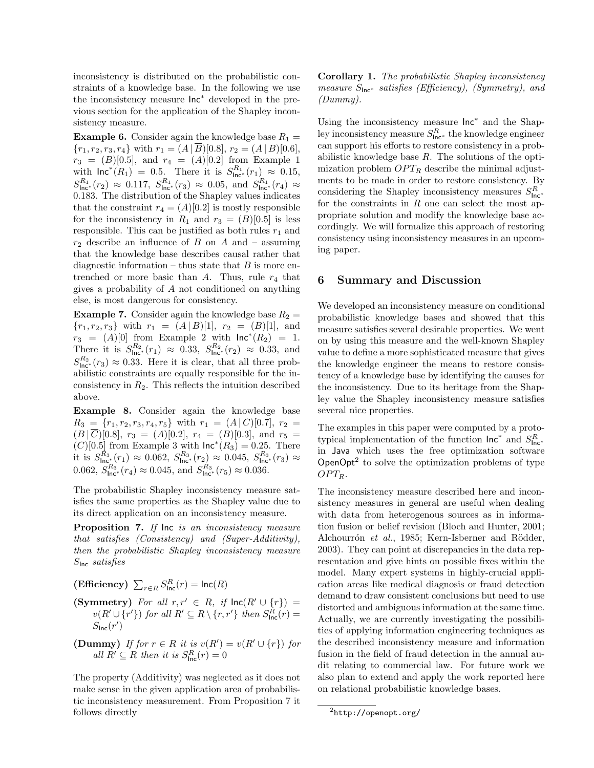inconsistency is distributed on the probabilistic constraints of a knowledge base. In the following we use the inconsistency measure Inc<sup>∗</sup> developed in the previous section for the application of the Shapley inconsistency measure.

**Example 6.** Consider again the knowledge base  $R_1 =$  ${r_1, r_2, r_3, r_4}$  with  $r_1 = (A \, \overline{B})[0.8], r_2 = (A \, B)[0.6],$  $r_3 = (B)[0.5]$ , and  $r_4 = (A)[0.2]$  from Example 1 with  $\textsf{Inc}^*(R_1) = 0.5$ . There it is  $S^{R_1}_{\textsf{Inc}^*}(r_1) \approx 0.15$ ,  $S^{R_1}_{\text{Inc}^*}(r_2) \approx 0.117, S^{R_1}_{\text{Inc}^*}(r_3) \approx 0.05, \text{ and } S^{R_1}_{\text{Inc}^*}(r_4) \approx$ 0.183. The distribution of the Shapley values indicates that the constraint  $r_4 = (A)[0.2]$  is mostly responsible for the inconsistency in  $R_1$  and  $r_3 = (B)[0.5]$  is less responsible. This can be justified as both rules  $r_1$  and  $r_2$  describe an influence of B on A and – assuming that the knowledge base describes causal rather that diagnostic information – thus state that  $B$  is more entrenched or more basic than  $A$ . Thus, rule  $r_4$  that gives a probability of A not conditioned on anything else, is most dangerous for consistency.

**Example 7.** Consider again the knowledge base  $R_2$  =  ${r_1, r_2, r_3}$  with  $r_1 = (A | B) [1], r_2 = (B) [1],$  and  $r_3 = (A)[0]$  from Example 2 with  $\mathsf{Inc}^*(R_2) = 1$ . There it is  $S^{R_2}_{\text{Inc}^*}(r_1) \approx 0.33$ ,  $S^{R_2}_{\text{Inc}^*}(r_2) \approx 0.33$ , and  $S^{R_2}_{\text{Inc}^*}(r_3) \approx 0.33$ . Here it is clear, that all three probabilistic constraints are equally responsible for the inconsistency in  $R_2$ . This reflects the intuition described above.

Example 8. Consider again the knowledge base  $R_3 = \{r_1, r_2, r_3, r_4, r_5\}$  with  $r_1 = (A \, | \, C) [0.7], r_2 =$  $(B | \overline{C})[0.8], r_3 = (A)[0.2], r_4 = (B)[0.3],$  and  $r_5 =$  $(C)[0.5]$  from Example 3 with  $\textsf{Inc}^*(R_3) = 0.25$ . There it is  $S^{R_3}_{\text{Inc}^*}(r_1) \approx 0.062$ ,  $S^{R_3}_{\text{Inc}^*}(r_2) \approx 0.045$ ,  $S^{R_3}_{\text{Inc}^*}(r_3) \approx$ 0.062,  $S^{R_3}_{\text{Inc}*}(r_4) \approx 0.045$ , and  $S^{R_3}_{\text{Inc}*}(r_5) \approx 0.036$ .

The probabilistic Shapley inconsistency measure satisfies the same properties as the Shapley value due to its direct application on an inconsistency measure.

Proposition 7. If  $\ln$  is an inconsistency measure that satisfies (Consistency) and (Super-Additivity), then the probabilistic Shapley inconsistency measure  $S<sub>lnc</sub> satisfies$ 

(Efficiency)  $\sum_{r \in R} S^{R}_{\text{Inc}}(r) = \text{Inc}(R)$ 

- (Symmetry) For all  $r, r' \in R$ , if  $\text{Inc}(R' \cup \{r\})$  =  $v(R' \cup \{r'\})$  for all  $R' \subseteq R \setminus \{r,r'\}$  then  $S^R_{\text{Inc}}(r) =$  $S<sub>Inc</sub>(r')$
- (Dummy) If for  $r \in R$  it is  $v(R') = v(R' \cup \{r\})$  for all  $R' \subseteq R$  then it is  $S^R_{\text{Inc}}(r) = 0$

The property (Additivity) was neglected as it does not make sense in the given application area of probabilistic inconsistency measurement. From Proposition 7 it follows directly

Corollary 1. The probabilistic Shapley inconsistency measure  $S_{\text{Inc}}$ <sup>\*</sup> satisfies (Efficiency), (Symmetry), and (Dummy).

Using the inconsistency measure  $Inc^*$  and the Shapley inconsistency measure  $S^R_{\mathsf{Inc}^*}$  the knowledge engineer can support his efforts to restore consistency in a probabilistic knowledge base  $R$ . The solutions of the optimization problem  $OPT_R$  describe the minimal adjustments to be made in order to restore consistency. By considering the Shapley inconsistency measures  $S_{\text{Inc}}^R$ . for the constraints in  $R$  one can select the most appropriate solution and modify the knowledge base accordingly. We will formalize this approach of restoring consistency using inconsistency measures in an upcoming paper.

### 6 Summary and Discussion

We developed an inconsistency measure on conditional probabilistic knowledge bases and showed that this measure satisfies several desirable properties. We went on by using this measure and the well-known Shapley value to define a more sophisticated measure that gives the knowledge engineer the means to restore consistency of a knowledge base by identifying the causes for the inconsistency. Due to its heritage from the Shapley value the Shapley inconsistency measure satisfies several nice properties.

The examples in this paper were computed by a prototypical implementation of the function  $\ln c^*$  and  $S_{\ln c^*}^R$ in Java which uses the free optimization software OpenOpt<sup>2</sup> to solve the optimization problems of type  $OPT_R$ .

The inconsistency measure described here and inconsistency measures in general are useful when dealing with data from heterogenous sources as in information fusion or belief revision (Bloch and Hunter, 2001; Alchourrón et al., 1985; Kern-Isberner and Rödder, 2003). They can point at discrepancies in the data representation and give hints on possible fixes within the model. Many expert systems in highly-crucial application areas like medical diagnosis or fraud detection demand to draw consistent conclusions but need to use distorted and ambiguous information at the same time. Actually, we are currently investigating the possibilities of applying information engineering techniques as the described inconsistency measure and information fusion in the field of fraud detection in the annual audit relating to commercial law. For future work we also plan to extend and apply the work reported here on relational probabilistic knowledge bases.

 $^{2}$ http://openopt.org/